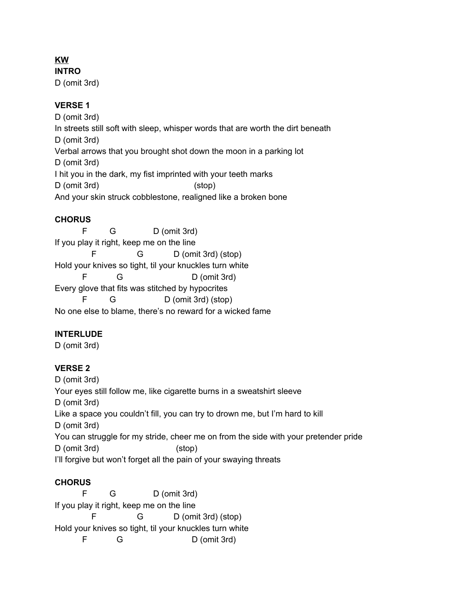# **KW**

**INTRO** D (omit 3rd)

### **VERSE 1**

D (omit 3rd) In streets still soft with sleep, whisper words that are worth the dirt beneath D (omit 3rd) Verbal arrows that you brought shot down the moon in a parking lot D (omit 3rd) I hit you in the dark, my fist imprinted with your teeth marks D (omit 3rd) (stop) And your skin struck cobblestone, realigned like a broken bone

### **CHORUS**

F G D (omit 3rd) If you play it right, keep me on the line F G D (omit 3rd) (stop) Hold your knives so tight, til your knuckles turn white F G D (omit 3rd) Every glove that fits was stitched by hypocrites F G D (omit 3rd) (stop) No one else to blame, there's no reward for a wicked fame

# **INTERLUDE**

D (omit 3rd)

# **VERSE 2**

D (omit 3rd) Your eyes still follow me, like cigarette burns in a sweatshirt sleeve D (omit 3rd) Like a space you couldn't fill, you can try to drown me, but I'm hard to kill D (omit 3rd) You can struggle for my stride, cheer me on from the side with your pretender pride D (omit 3rd) (stop) I'll forgive but won't forget all the pain of your swaying threats

# **CHORUS**

F G D (omit 3rd) If you play it right, keep me on the line F G D (omit 3rd) (stop) Hold your knives so tight, til your knuckles turn white F G D (omit 3rd)